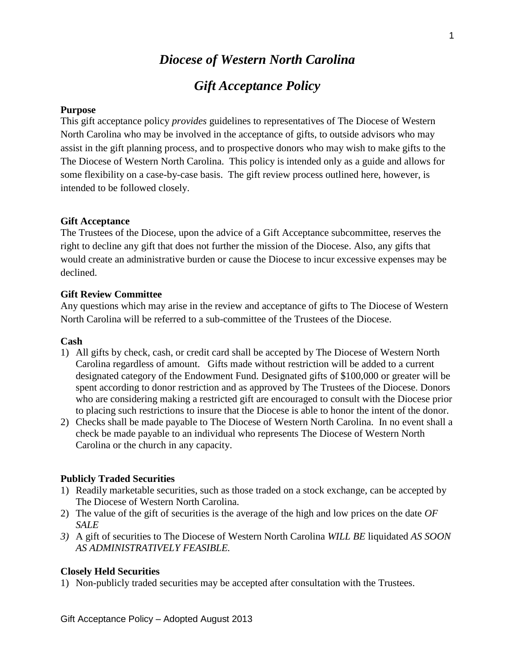# *Diocese of Western North Carolina Gift Acceptance Policy*

## **Purpose**

This gift acceptance policy *provides* guidelines to representatives of The Diocese of Western North Carolina who may be involved in the acceptance of gifts, to outside advisors who may assist in the gift planning process, and to prospective donors who may wish to make gifts to the The Diocese of Western North Carolina. This policy is intended only as a guide and allows for some flexibility on a case-by-case basis. The gift review process outlined here, however, is intended to be followed closely.

## **Gift Acceptance**

The Trustees of the Diocese, upon the advice of a Gift Acceptance subcommittee, reserves the right to decline any gift that does not further the mission of the Diocese. Also, any gifts that would create an administrative burden or cause the Diocese to incur excessive expenses may be declined.

## **Gift Review Committee**

Any questions which may arise in the review and acceptance of gifts to The Diocese of Western North Carolina will be referred to a sub-committee of the Trustees of the Diocese.

## **Cash**

- 1) All gifts by check, cash, or credit card shall be accepted by The Diocese of Western North Carolina regardless of amount. Gifts made without restriction will be added to a current designated category of the Endowment Fund. Designated gifts of \$100,000 or greater will be spent according to donor restriction and as approved by The Trustees of the Diocese. Donors who are considering making a restricted gift are encouraged to consult with the Diocese prior to placing such restrictions to insure that the Diocese is able to honor the intent of the donor.
- 2) Checks shall be made payable to The Diocese of Western North Carolina. In no event shall a check be made payable to an individual who represents The Diocese of Western North Carolina or the church in any capacity.

## **Publicly Traded Securities**

- 1) Readily marketable securities, such as those traded on a stock exchange, can be accepted by The Diocese of Western North Carolina.
- 2) The value of the gift of securities is the average of the high and low prices on the date *OF SALE*
- *3)* A gift of securities to The Diocese of Western North Carolina *WILL BE* liquidated *AS SOON AS ADMINISTRATIVELY FEASIBLE.*

## **Closely Held Securities**

1) Non-publicly traded securities may be accepted after consultation with the Trustees.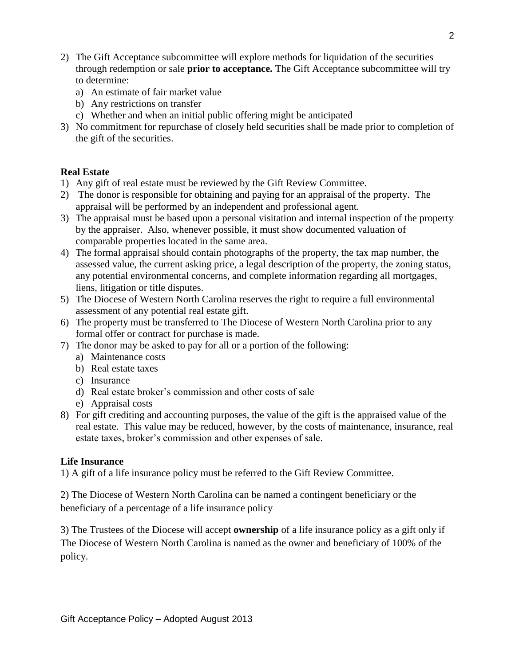- 2) The Gift Acceptance subcommittee will explore methods for liquidation of the securities through redemption or sale **prior to acceptance.** The Gift Acceptance subcommittee will try to determine:
	- a) An estimate of fair market value
	- b) Any restrictions on transfer
	- c) Whether and when an initial public offering might be anticipated
- 3) No commitment for repurchase of closely held securities shall be made prior to completion of the gift of the securities.

# **Real Estate**

- 1) Any gift of real estate must be reviewed by the Gift Review Committee.
- 2) The donor is responsible for obtaining and paying for an appraisal of the property. The appraisal will be performed by an independent and professional agent.
- 3) The appraisal must be based upon a personal visitation and internal inspection of the property by the appraiser. Also, whenever possible, it must show documented valuation of comparable properties located in the same area.
- 4) The formal appraisal should contain photographs of the property, the tax map number, the assessed value, the current asking price, a legal description of the property, the zoning status, any potential environmental concerns, and complete information regarding all mortgages, liens, litigation or title disputes.
- 5) The Diocese of Western North Carolina reserves the right to require a full environmental assessment of any potential real estate gift.
- 6) The property must be transferred to The Diocese of Western North Carolina prior to any formal offer or contract for purchase is made.
- 7) The donor may be asked to pay for all or a portion of the following:
	- a) Maintenance costs
	- b) Real estate taxes
	- c) Insurance
	- d) Real estate broker's commission and other costs of sale
	- e) Appraisal costs
- 8) For gift crediting and accounting purposes, the value of the gift is the appraised value of the real estate. This value may be reduced, however, by the costs of maintenance, insurance, real estate taxes, broker's commission and other expenses of sale.

# **Life Insurance**

1) A gift of a life insurance policy must be referred to the Gift Review Committee.

2) The Diocese of Western North Carolina can be named a contingent beneficiary or the beneficiary of a percentage of a life insurance policy

3) The Trustees of the Diocese will accept **ownership** of a life insurance policy as a gift only if The Diocese of Western North Carolina is named as the owner and beneficiary of 100% of the policy.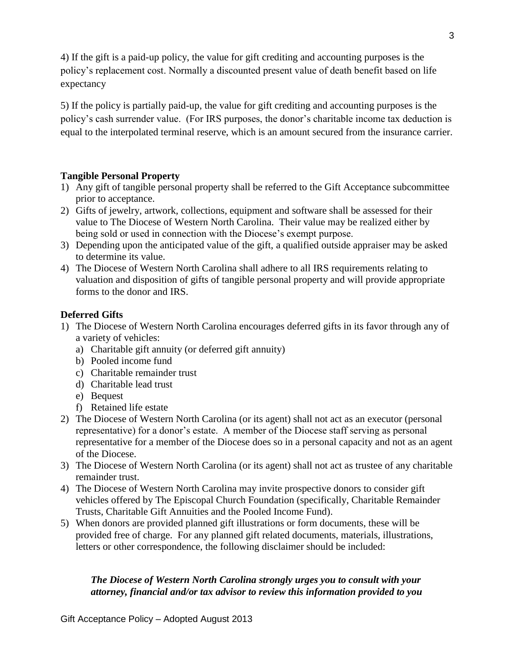4) If the gift is a paid-up policy, the value for gift crediting and accounting purposes is the policy's replacement cost. Normally a discounted present value of death benefit based on life expectancy

5) If the policy is partially paid-up, the value for gift crediting and accounting purposes is the policy's cash surrender value. (For IRS purposes, the donor's charitable income tax deduction is equal to the interpolated terminal reserve, which is an amount secured from the insurance carrier.

# **Tangible Personal Property**

- 1) Any gift of tangible personal property shall be referred to the Gift Acceptance subcommittee prior to acceptance.
- 2) Gifts of jewelry, artwork, collections, equipment and software shall be assessed for their value to The Diocese of Western North Carolina. Their value may be realized either by being sold or used in connection with the Diocese's exempt purpose.
- 3) Depending upon the anticipated value of the gift, a qualified outside appraiser may be asked to determine its value.
- 4) The Diocese of Western North Carolina shall adhere to all IRS requirements relating to valuation and disposition of gifts of tangible personal property and will provide appropriate forms to the donor and IRS.

# **Deferred Gifts**

- 1) The Diocese of Western North Carolina encourages deferred gifts in its favor through any of a variety of vehicles:
	- a) Charitable gift annuity (or deferred gift annuity)
	- b) Pooled income fund
	- c) Charitable remainder trust
	- d) Charitable lead trust
	- e) Bequest
	- f) Retained life estate
- 2) The Diocese of Western North Carolina (or its agent) shall not act as an executor (personal representative) for a donor's estate. A member of the Diocese staff serving as personal representative for a member of the Diocese does so in a personal capacity and not as an agent of the Diocese.
- 3) The Diocese of Western North Carolina (or its agent) shall not act as trustee of any charitable remainder trust.
- 4) The Diocese of Western North Carolina may invite prospective donors to consider gift vehicles offered by The Episcopal Church Foundation (specifically, Charitable Remainder Trusts, Charitable Gift Annuities and the Pooled Income Fund).
- 5) When donors are provided planned gift illustrations or form documents, these will be provided free of charge. For any planned gift related documents, materials, illustrations, letters or other correspondence, the following disclaimer should be included:

# *The Diocese of Western North Carolina strongly urges you to consult with your attorney, financial and/or tax advisor to review this information provided to you*